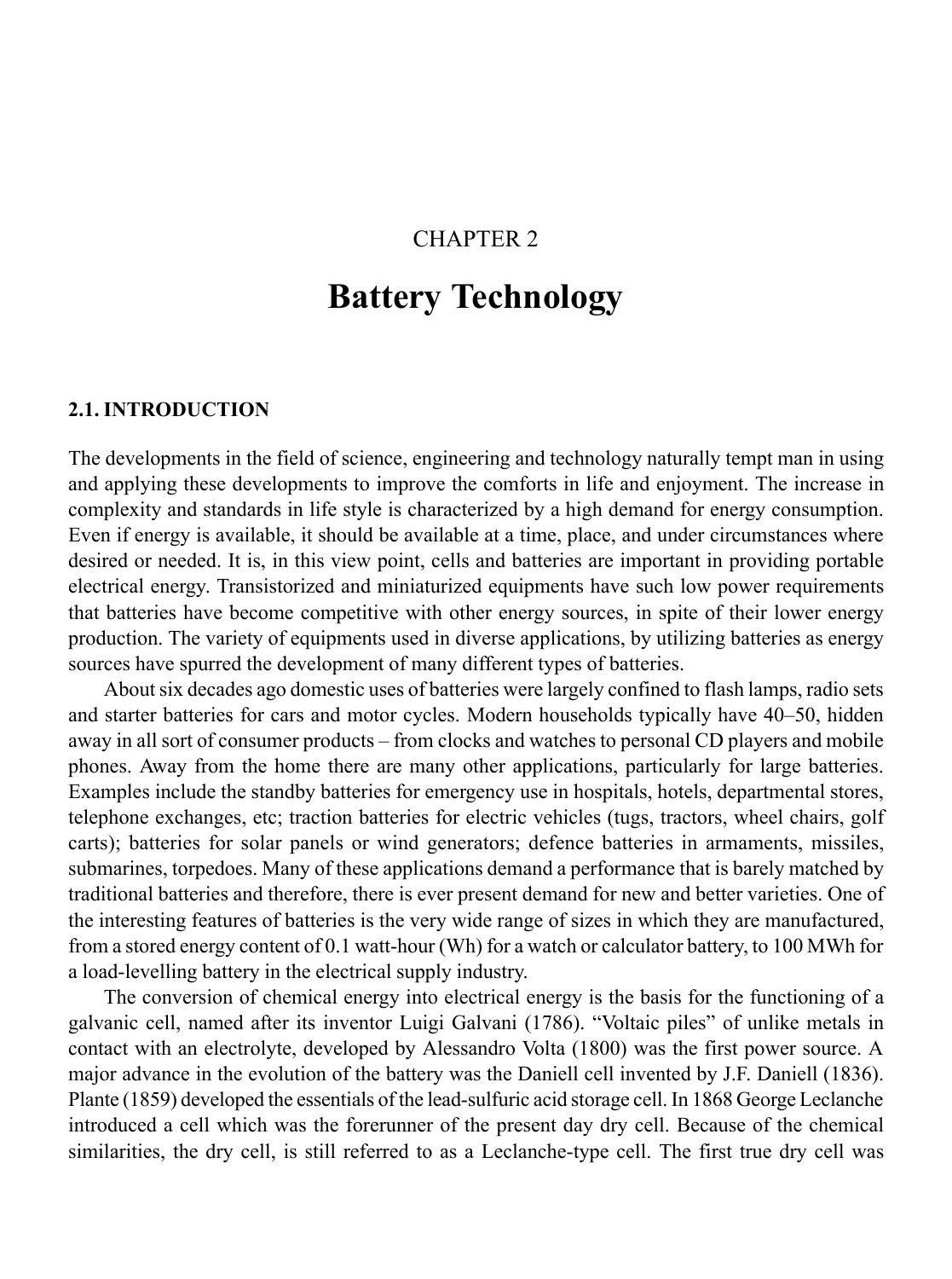### CHAPTER 2

# **Battery Technology**

#### **2.1. INTRODUCTION**

The developments in the field of science, engineering and technology naturally tempt man in using and applying these developments to improve the comforts in life and enjoyment. The increase in complexity and standards in life style is characterized by a high demand for energy consumption. Even if energy is available, it should be available at a time, place, and under circumstances where desired or needed. It is, in this view point, cells and batteries are important in providing portable electrical energy. Transistorized and miniaturized equipments have such low power requirements that batteries have become competitive with other energy sources, in spite of their lower energy production. The variety of equipments used in diverse applications, by utilizing batteries as energy sources have spurred the development of many different types of batteries.

About six decades ago domestic uses of batteries were largely confined to flash lamps, radio sets and starter batteries for cars and motor cycles. Modern households typically have 40–50, hidden away in all sort of consumer products – from clocks and watches to personal CD players and mobile phones. Away from the home there are many other applications, particularly for large batteries. Examples include the standby batteries for emergency use in hospitals, hotels, departmental stores, telephone exchanges, etc; traction batteries for electric vehicles (tugs, tractors, wheel chairs, golf carts); batteries for solar panels or wind generators; defence batteries in armaments, missiles, submarines, torpedoes. Many of these applications demand a performance that is barely matched by traditional batteries and therefore, there is ever present demand for new and better varieties. One of the interesting features of batteries is the very wide range of sizes in which they are manufactured, from a stored energy content of 0.1 watt-hour (Wh) for a watch or calculator battery, to 100 MWh for a load-levelling battery in the electrical supply industry.

The conversion of chemical energy into electrical energy is the basis for the functioning of a galvanic cell, named after its inventor Luigi Galvani (1786). "Voltaic piles" of unlike metals in contact with an electrolyte, developed by Alessandro Volta (1800) was the first power source. A major advance in the evolution of the battery was the Daniell cell invented by J.F. Daniell (1836). Plante (1859) developed the essentials of the lead-sulfuric acid storage cell. In 1868 George Leclanche introduced a cell which was the forerunner of the present day dry cell. Because of the chemical similarities, the dry cell, is still referred to as a Leclanche-type cell. The first true dry cell was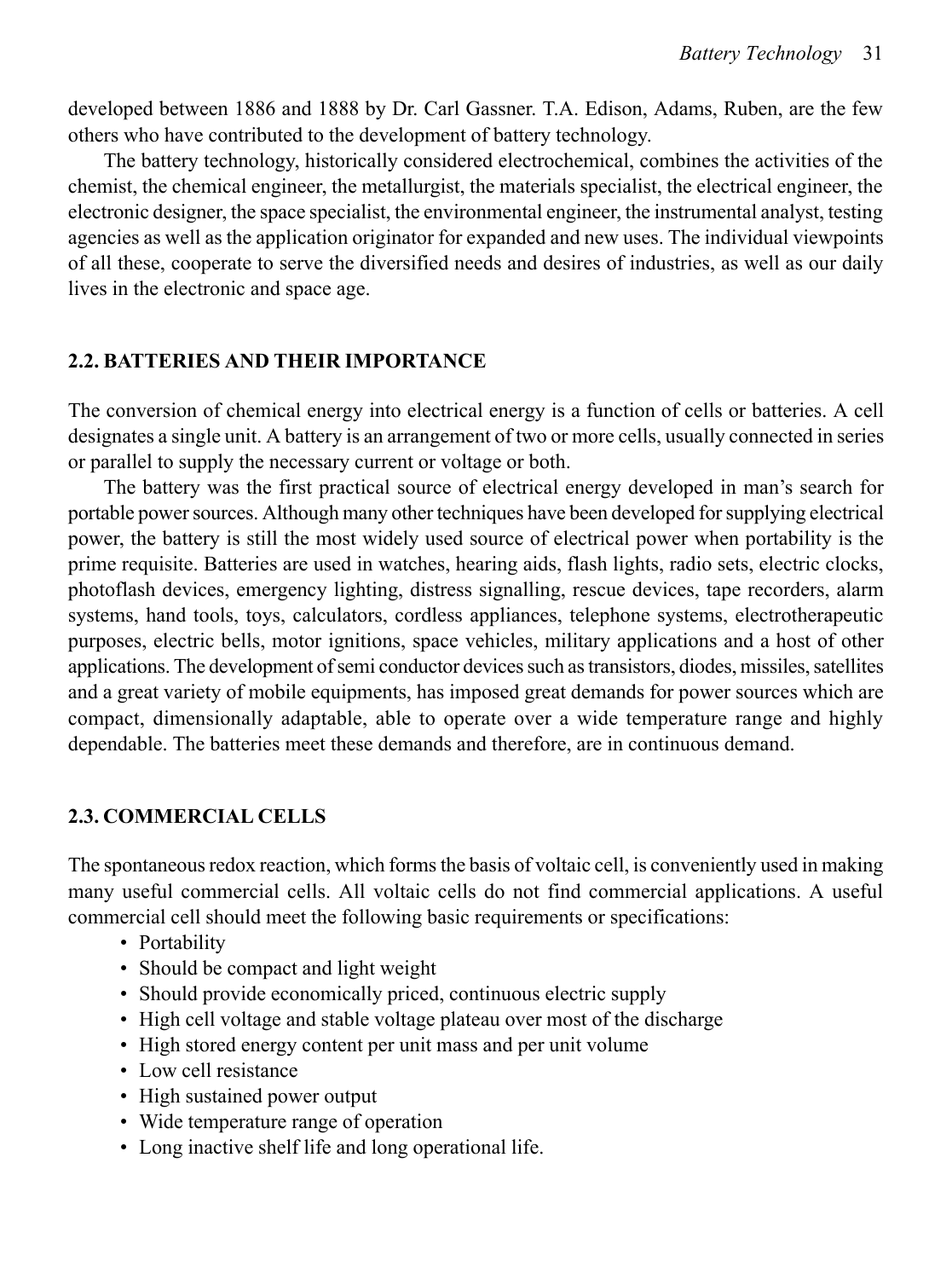developed between 1886 and 1888 by Dr. Carl Gassner. T.A. Edison, Adams, Ruben, are the few others who have contributed to the development of battery technology.

The battery technology, historically considered electrochemical, combines the activities of the chemist, the chemical engineer, the metallurgist, the materials specialist, the electrical engineer, the electronic designer, the space specialist, the environmental engineer, the instrumental analyst, testing agencies as well as the application originator for expanded and new uses. The individual viewpoints of all these, cooperate to serve the diversified needs and desires of industries, as well as our daily lives in the electronic and space age.

### **2.2. BATTERIES AND THEIR IMPORTANCE**

The conversion of chemical energy into electrical energy is a function of cells or batteries. A cell designates a single unit. A battery is an arrangement of two or more cells, usually connected in series or parallel to supply the necessary current or voltage or both.

The battery was the first practical source of electrical energy developed in man's search for portable power sources. Although many other techniques have been developed for supplying electrical power, the battery is still the most widely used source of electrical power when portability is the prime requisite. Batteries are used in watches, hearing aids, flash lights, radio sets, electric clocks, photoflash devices, emergency lighting, distress signalling, rescue devices, tape recorders, alarm systems, hand tools, toys, calculators, cordless appliances, telephone systems, electrotherapeutic purposes, electric bells, motor ignitions, space vehicles, military applications and a host of other applications. The development of semi conductor devices such as transistors, diodes, missiles, satellites and a great variety of mobile equipments, has imposed great demands for power sources which are compact, dimensionally adaptable, able to operate over a wide temperature range and highly dependable. The batteries meet these demands and therefore, are in continuous demand.

### **2.3. COMMERCIAL CELLS**

The spontaneous redox reaction, which forms the basis of voltaic cell, is conveniently used in making many useful commercial cells. All voltaic cells do not find commercial applications. A useful commercial cell should meet the following basic requirements or specifications:

- Portability
- Should be compact and light weight
- Should provide economically priced, continuous electric supply
- High cell voltage and stable voltage plateau over most of the discharge
- High stored energy content per unit mass and per unit volume
- Low cell resistance
- High sustained power output
- Wide temperature range of operation
- Long inactive shelf life and long operational life.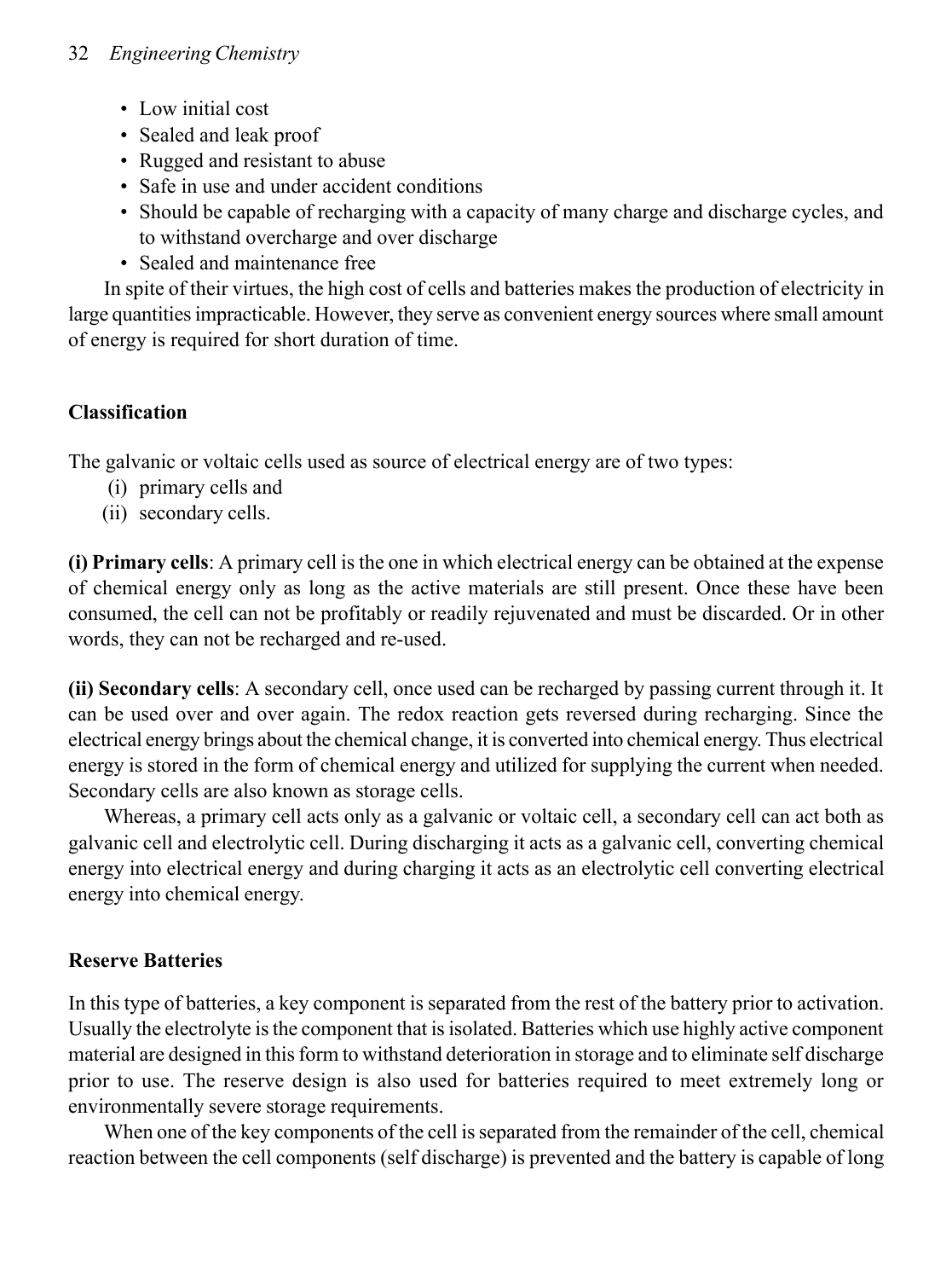- Low initial cost
- Sealed and leak proof
- Rugged and resistant to abuse
- Safe in use and under accident conditions
- Should be capable of recharging with a capacity of many charge and discharge cycles, and to withstand overcharge and over discharge
- Sealed and maintenance free

In spite of their virtues, the high cost of cells and batteries makes the production of electricity in large quantities impracticable. However, they serve as convenient energy sources where small amount of energy is required for short duration of time.

# **Classification**

The galvanic or voltaic cells used as source of electrical energy are of two types:

- (i) primary cells and
- (ii) secondary cells.

**(i) Primary cells**: A primary cell is the one in which electrical energy can be obtained at the expense of chemical energy only as long as the active materials are still present. Once these have been consumed, the cell can not be profitably or readily rejuvenated and must be discarded. Or in other words, they can not be recharged and re-used.

**(ii) Secondary cells**: A secondary cell, once used can be recharged by passing current through it. It can be used over and over again. The redox reaction gets reversed during recharging. Since the electrical energy brings about the chemical change, it is converted into chemical energy. Thus electrical energy is stored in the form of chemical energy and utilized for supplying the current when needed. Secondary cells are also known as storage cells.

Whereas, a primary cell acts only as a galvanic or voltaic cell, a secondary cell can act both as galvanic cell and electrolytic cell. During discharging it acts as a galvanic cell, converting chemical energy into electrical energy and during charging it acts as an electrolytic cell converting electrical energy into chemical energy.

# **Reserve Batteries**

In this type of batteries, a key component is separated from the rest of the battery prior to activation. Usually the electrolyte is the component that is isolated. Batteries which use highly active component material are designed in this form to withstand deterioration in storage and to eliminate self discharge prior to use. The reserve design is also used for batteries required to meet extremely long or environmentally severe storage requirements.

When one of the key components of the cell is separated from the remainder of the cell, chemical reaction between the cell components (self discharge) is prevented and the battery is capable of long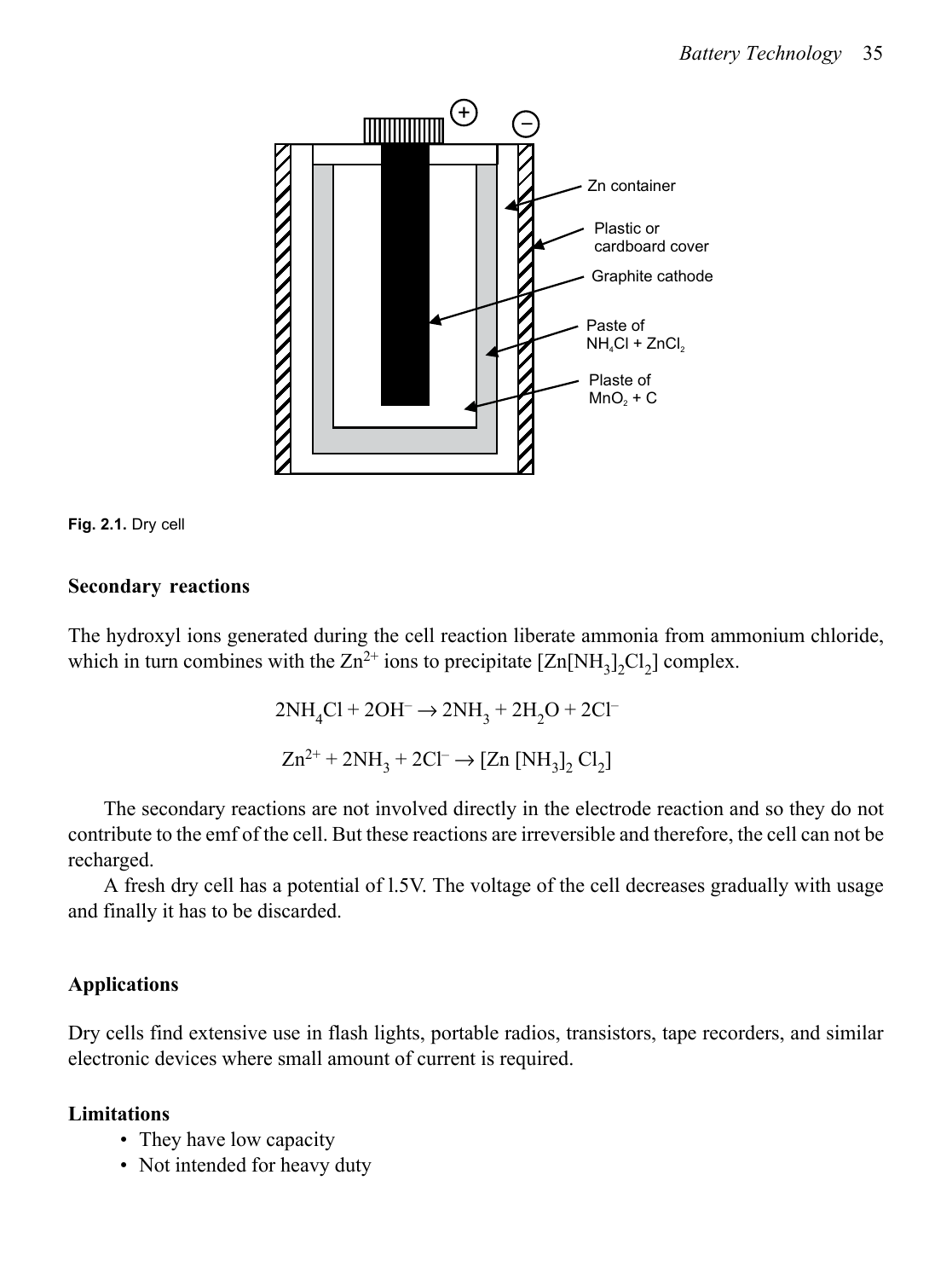



### **Secondary reactions**

The hydroxyl ions generated during the cell reaction liberate ammonia from ammonium chloride, which in turn combines with the  $Zn^{2+}$  ions to precipitate  $[Zn[NH_3],Cl_2]$  complex.

> $2NH_4Cl$  +  $2OH^ \rightarrow$   $2NH_3$  +  $2H_2O$  +  $2Cl^ \text{Zn}^{2+} + 2\text{NH}_3 + 2\text{Cl}^- \rightarrow \text{[Zn [NH}_3]_2 \text{Cl}_2\text{]}$

The secondary reactions are not involved directly in the electrode reaction and so they do not contribute to the emf of the cell. But these reactions are irreversible and therefore, the cell can not be recharged.

A fresh dry cell has a potential of l.5V. The voltage of the cell decreases gradually with usage and finally it has to be discarded.

### **Applications**

Dry cells find extensive use in flash lights, portable radios, transistors, tape recorders, and similar electronic devices where small amount of current is required.

### **Limitations**

- They have low capacity
- Not intended for heavy duty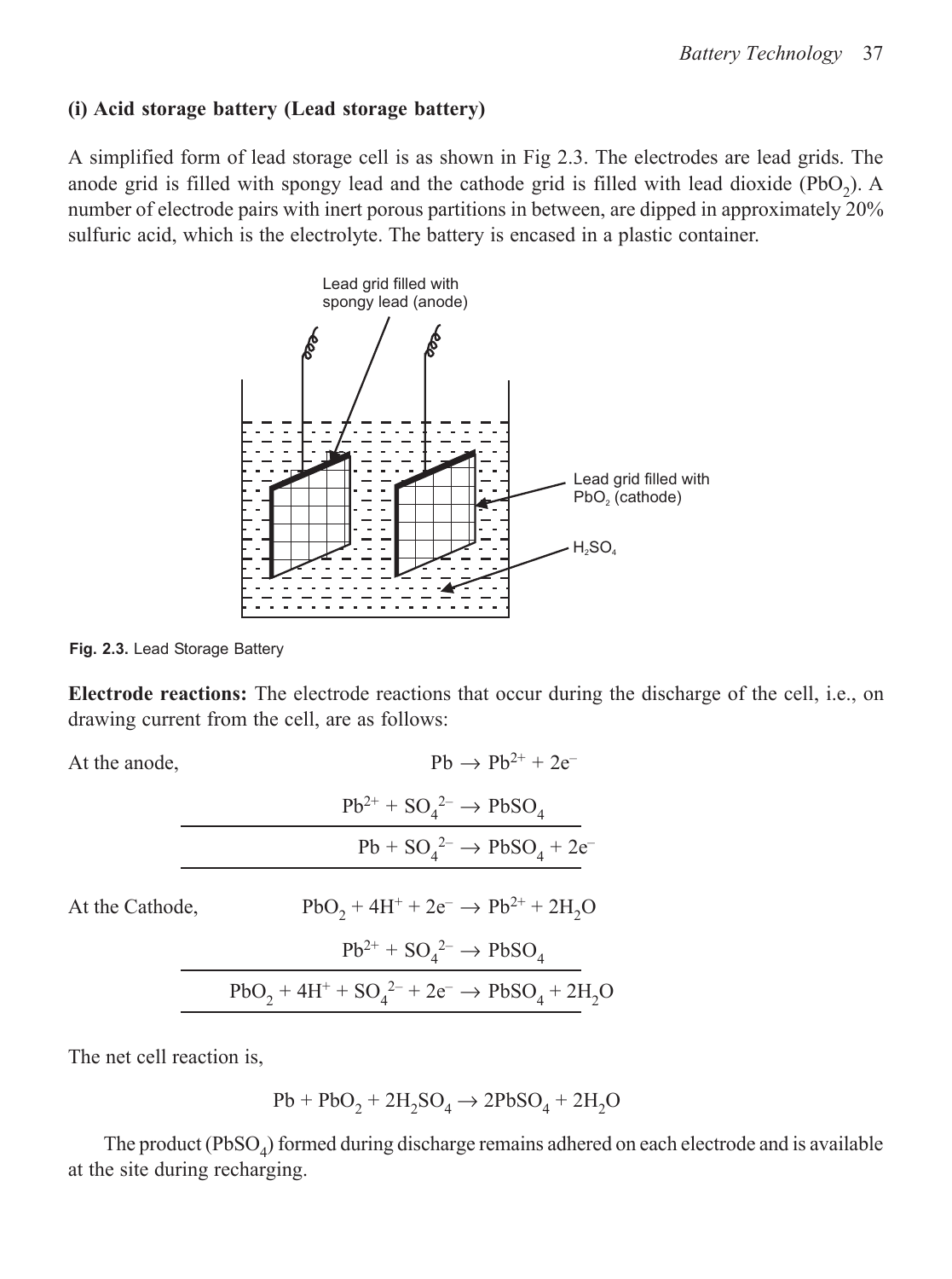### **(i) Acid storage battery (Lead storage battery)**

A simplified form of lead storage cell is as shown in Fig 2.3. The electrodes are lead grids. The anode grid is filled with spongy lead and the cathode grid is filled with lead dioxide (PbO<sub>2</sub>). A number of electrode pairs with inert porous partitions in between, are dipped in approximately 20% sulfuric acid, which is the electrolyte. The battery is encased in a plastic container.



**Fig. 2.3.** Lead Storage Battery

**Electrode reactions:** The electrode reactions that occur during the discharge of the cell, i.e., on drawing current from the cell, are as follows:

At the anode,

| $Ph \rightarrow Ph^{2+} + 2e^-$                                           |
|---------------------------------------------------------------------------|
| $Pb^{2+}$ + SO <sub>4</sub> <sup>2-</sup> $\rightarrow$ PbSO <sub>4</sub> |
| $Pb + SO42- \rightarrow PbSO4 + 2e^-$                                     |

| At the Cathode, | $PbO_2 + 4H^+ + 2e^- \rightarrow Pb^{2+} + 2H_2O$                         |
|-----------------|---------------------------------------------------------------------------|
|                 | $Pb^{2+}$ + SO <sub>4</sub> <sup>2-</sup> $\rightarrow$ PbSO <sub>4</sub> |
|                 | $PbO_2 + 4H^+ + SO_4^{2-} + 2e^- \rightarrow PbSO_4 + 2H_2O$              |

The net cell reaction is,

$$
\mathrm{Pb} + \mathrm{PbO_2} + 2\mathrm{H_2SO_4} \rightarrow 2\mathrm{PbSO_4} + 2\mathrm{H_2O}
$$

The product  $(PbSO<sub>4</sub>)$  formed during discharge remains adhered on each electrode and is available at the site during recharging.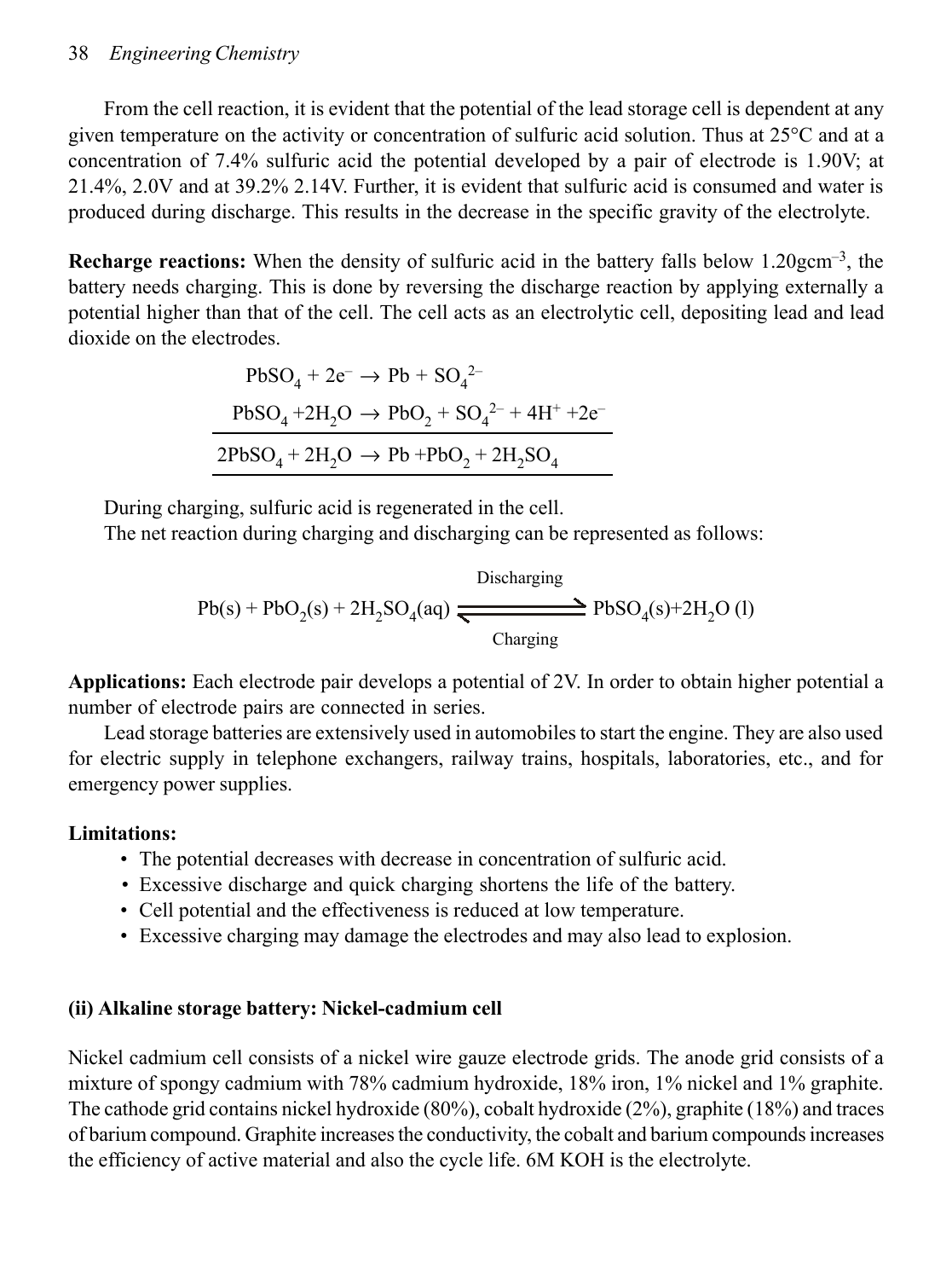#### 38 *Engineering Chemistry*

From the cell reaction, it is evident that the potential of the lead storage cell is dependent at any given temperature on the activity or concentration of sulfuric acid solution. Thus at 25°C and at a concentration of 7.4% sulfuric acid the potential developed by a pair of electrode is 1.90V; at 21.4%, 2.0V and at 39.2% 2.14V. Further, it is evident that sulfuric acid is consumed and water is produced during discharge. This results in the decrease in the specific gravity of the electrolyte.

**Recharge reactions:** When the density of sulfuric acid in the battery falls below 1.20gcm<sup>-3</sup>, the battery needs charging. This is done by reversing the discharge reaction by applying externally a potential higher than that of the cell. The cell acts as an electrolytic cell, depositing lead and lead dioxide on the electrodes.

$$
PbSO_4 + 2e^- \rightarrow Pb + SO_4^{2-}
$$
  
\n
$$
PbSO_4 + 2H_2O \rightarrow PbO_2 + SO_4^{2-} + 4H^+ + 2e^-
$$
  
\n
$$
2PbSO_4 + 2H_2O \rightarrow Pb + PbO_2 + 2H_2SO_4
$$

During charging, sulfuric acid is regenerated in the cell. The net reaction during charging and discharging can be represented as follows:

 $D<sub>1</sub>$ 

$$
Pb(s) + PbO_2(s) + 2H_2SO_4(aq) \xrightarrow{\text{Discharging}} PbSO_4(s) + 2H_2O(l)
$$

**Applications:** Each electrode pair develops a potential of 2V. In order to obtain higher potential a number of electrode pairs are connected in series.

Lead storage batteries are extensively used in automobiles to start the engine. They are also used for electric supply in telephone exchangers, railway trains, hospitals, laboratories, etc., and for emergency power supplies.

# **Limitations:**

- The potential decreases with decrease in concentration of sulfuric acid.
- Excessive discharge and quick charging shortens the life of the battery.
- Cell potential and the effectiveness is reduced at low temperature.
- Excessive charging may damage the electrodes and may also lead to explosion.

# **(ii) Alkaline storage battery: Nickel-cadmium cell**

Nickel cadmium cell consists of a nickel wire gauze electrode grids. The anode grid consists of a mixture of spongy cadmium with 78% cadmium hydroxide, 18% iron, 1% nickel and 1% graphite. The cathode grid contains nickel hydroxide (80%), cobalt hydroxide (2%), graphite (18%) and traces of barium compound. Graphite increases the conductivity, the cobalt and barium compounds increases the efficiency of active material and also the cycle life. 6M KOH is the electrolyte.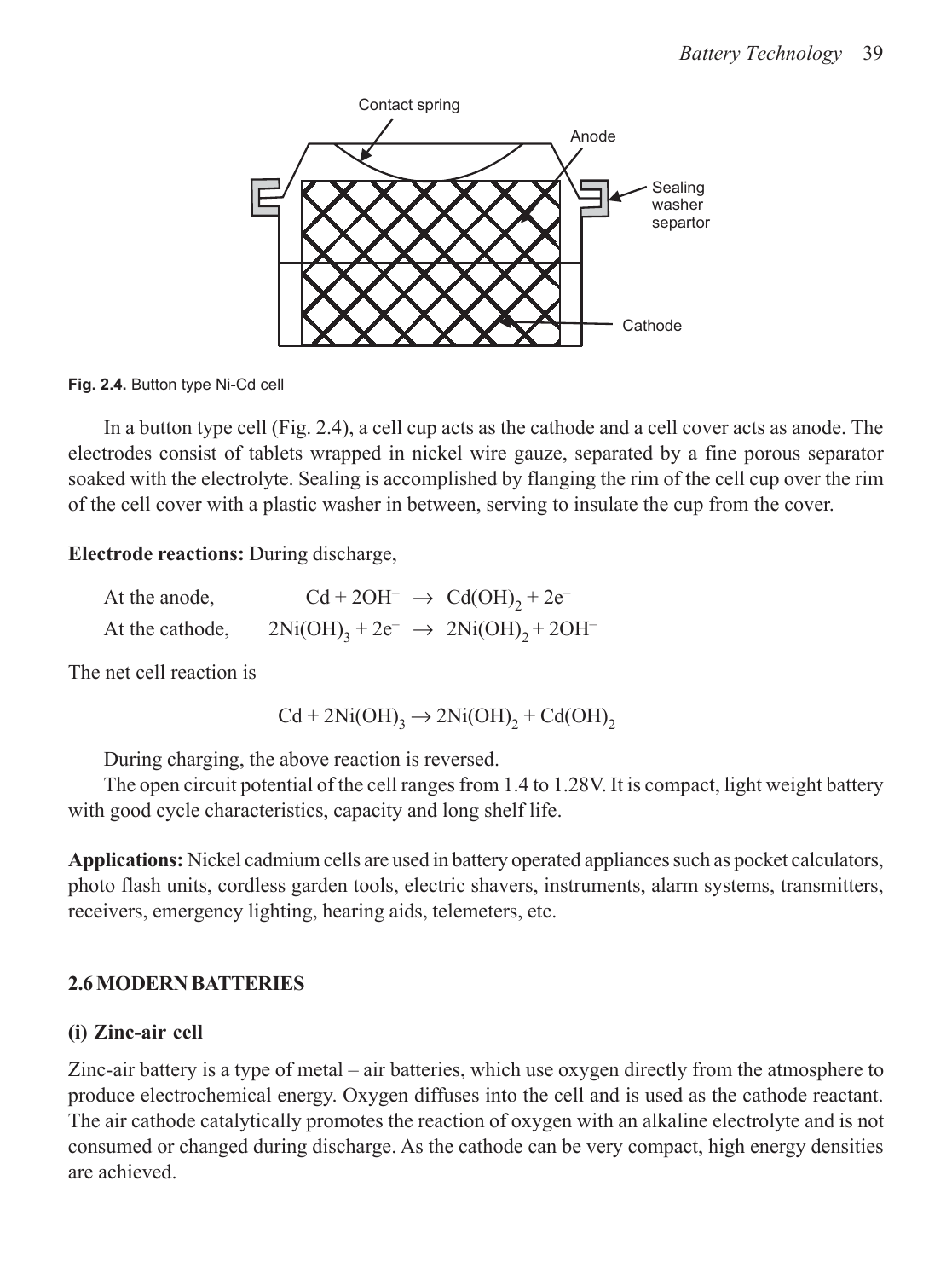

**Fig. 2.4.** Button type Ni-Cd cell

In a button type cell (Fig. 2.4), a cell cup acts as the cathode and a cell cover acts as anode. The electrodes consist of tablets wrapped in nickel wire gauze, separated by a fine porous separator soaked with the electrolyte. Sealing is accomplished by flanging the rim of the cell cup over the rim of the cell cover with a plastic washer in between, serving to insulate the cup from the cover.

**Electrode reactions:** During discharge,

| At the anode,   | $Cd + 2OH^ \rightarrow$ $Cd(OH)_2 + 2e^-$                |  |
|-----------------|----------------------------------------------------------|--|
| At the cathode, | $2Ni(OH)_{3} + 2e^{-} \rightarrow 2Ni(OH)_{2} + 2OH^{-}$ |  |

The net cell reaction is

$$
Cd + 2Ni(OH)3 \rightarrow 2Ni(OH)2 + Cd(OH)2
$$

During charging, the above reaction is reversed.

The open circuit potential of the cell ranges from 1.4 to 1.28V. It is compact, light weight battery with good cycle characteristics, capacity and long shelf life.

**Applications:** Nickel cadmium cells are used in battery operated appliances such as pocket calculators, photo flash units, cordless garden tools, electric shavers, instruments, alarm systems, transmitters, receivers, emergency lighting, hearing aids, telemeters, etc.

### **2.6 MODERN BATTERIES**

### **(i) Zinc-air cell**

Zinc-air battery is a type of metal – air batteries, which use oxygen directly from the atmosphere to produce electrochemical energy. Oxygen diffuses into the cell and is used as the cathode reactant. The air cathode catalytically promotes the reaction of oxygen with an alkaline electrolyte and is not consumed or changed during discharge. As the cathode can be very compact, high energy densities are achieved.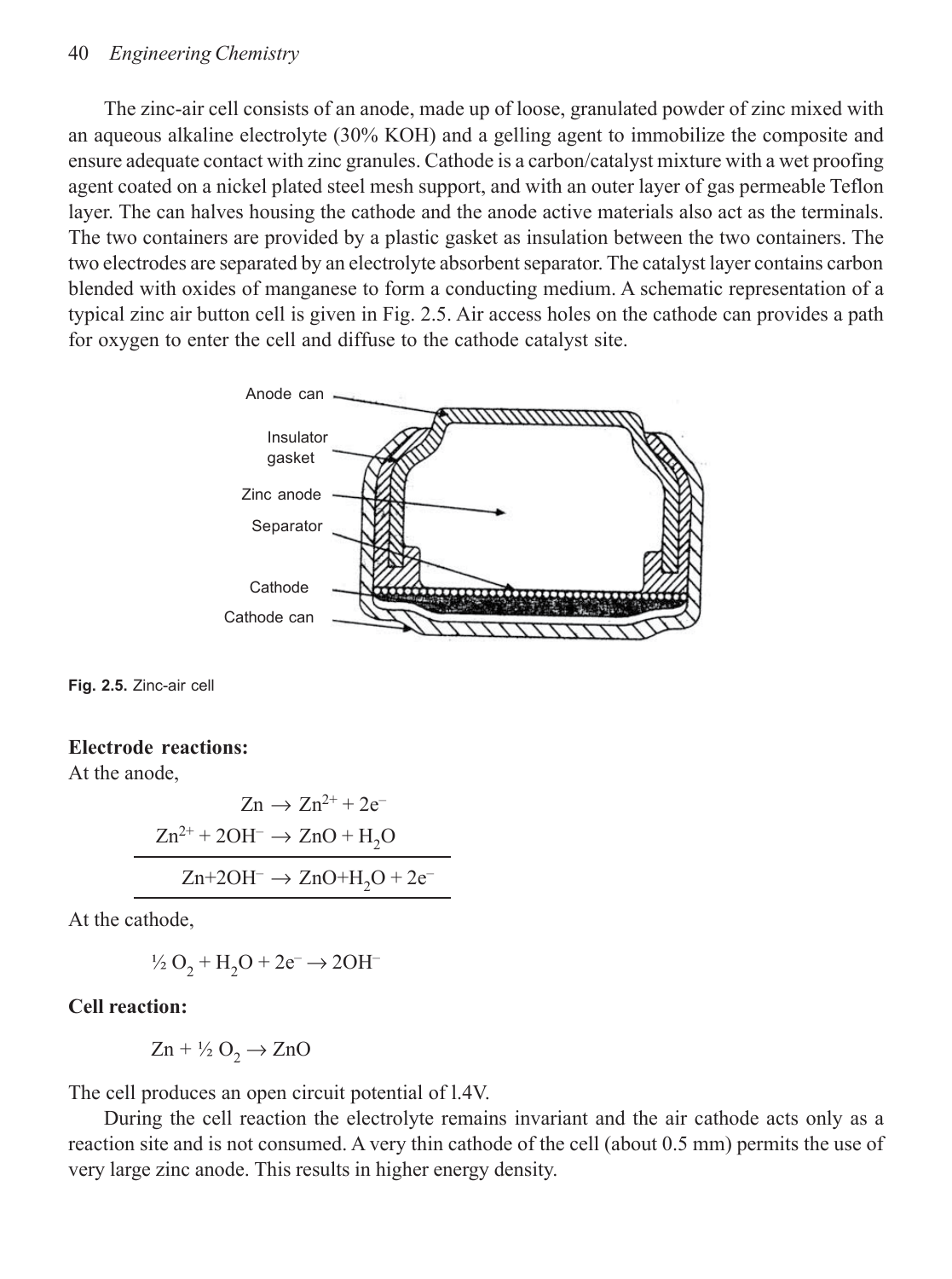#### 40 *Engineering Chemistry*

The zinc-air cell consists of an anode, made up of loose, granulated powder of zinc mixed with an aqueous alkaline electrolyte (30% KOH) and a gelling agent to immobilize the composite and ensure adequate contact with zinc granules. Cathode is a carbon/catalyst mixture with a wet proofing agent coated on a nickel plated steel mesh support, and with an outer layer of gas permeable Teflon layer. The can halves housing the cathode and the anode active materials also act as the terminals. The two containers are provided by a plastic gasket as insulation between the two containers. The two electrodes are separated by an electrolyte absorbent separator. The catalyst layer contains carbon blended with oxides of manganese to form a conducting medium. A schematic representation of a typical zinc air button cell is given in Fig. 2.5. Air access holes on the cathode can provides a path for oxygen to enter the cell and diffuse to the cathode catalyst site.



**Fig. 2.5.** Zinc-air cell

#### **Electrode reactions:**

At the anode,

$$
Zn \to Zn^{2+} + 2e^-
$$

$$
Zn^{2+} + 2OH^- \to ZnO + H_2O
$$

$$
Zn + 2OH^- \to ZnO + H_2O + 2e^-
$$

At the cathode,

$$
\frac{1}{2}O_2 + H_2O + 2e^- \rightarrow 2OH^-
$$

### **Cell reaction:**

$$
Zn + \frac{1}{2}O_2 \rightarrow ZnO
$$

The cell produces an open circuit potential of l.4V.

During the cell reaction the electrolyte remains invariant and the air cathode acts only as a reaction site and is not consumed. A very thin cathode of the cell (about 0.5 mm) permits the use of very large zinc anode. This results in higher energy density.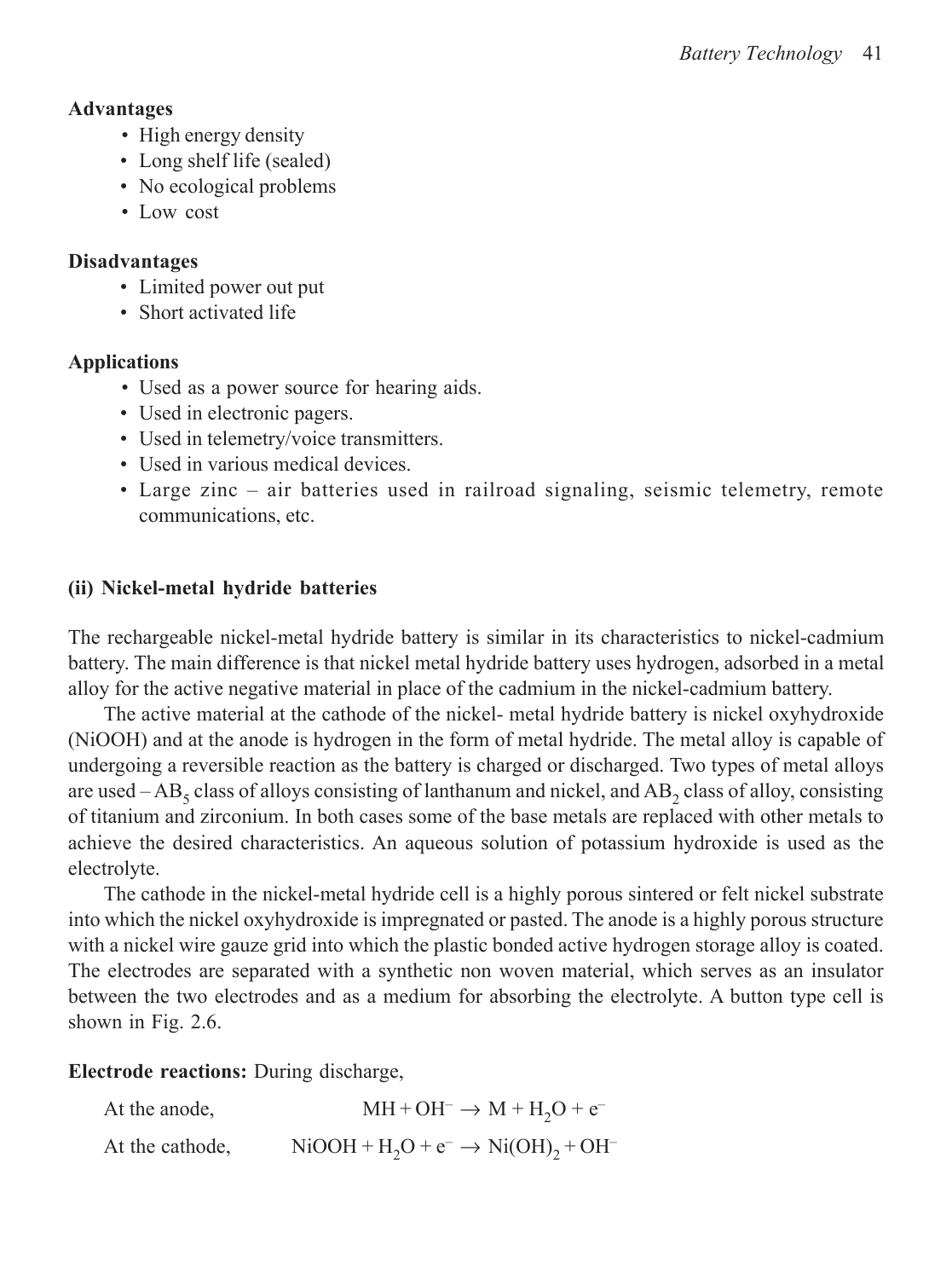### **Advantages**

- High energy density
- Long shelf life (sealed)
- No ecological problems
- Low cost

# **Disadvantages**

- Limited power out put
- Short activated life

# **Applications**

- Used as a power source for hearing aids.
- Used in electronic pagers.
- Used in telemetry/voice transmitters.
- Used in various medical devices.
- Large zinc air batteries used in railroad signaling, seismic telemetry, remote communications, etc.

# **(ii) Nickel-metal hydride batteries**

The rechargeable nickel-metal hydride battery is similar in its characteristics to nickel-cadmium battery. The main difference is that nickel metal hydride battery uses hydrogen, adsorbed in a metal alloy for the active negative material in place of the cadmium in the nickel-cadmium battery.

The active material at the cathode of the nickel- metal hydride battery is nickel oxyhydroxide (NiOOH) and at the anode is hydrogen in the form of metal hydride. The metal alloy is capable of undergoing a reversible reaction as the battery is charged or discharged. Two types of metal alloys are used  $-AB_5$  class of alloys consisting of lanthanum and nickel, and  $AB_2$  class of alloy, consisting of titanium and zirconium. In both cases some of the base metals are replaced with other metals to achieve the desired characteristics. An aqueous solution of potassium hydroxide is used as the electrolyte.

The cathode in the nickel-metal hydride cell is a highly porous sintered or felt nickel substrate into which the nickel oxyhydroxide is impregnated or pasted. The anode is a highly porous structure with a nickel wire gauze grid into which the plastic bonded active hydrogen storage alloy is coated. The electrodes are separated with a synthetic non woven material, which serves as an insulator between the two electrodes and as a medium for absorbing the electrolyte. A button type cell is shown in Fig. 2.6.

**Electrode reactions:** During discharge,

At the anode,  $MH + OH^- \rightarrow M + H_2O + e^-$ At the cathode,  $NiOOH + H<sub>2</sub>O + e^- \rightarrow Ni(OH)<sub>2</sub> + OH^-$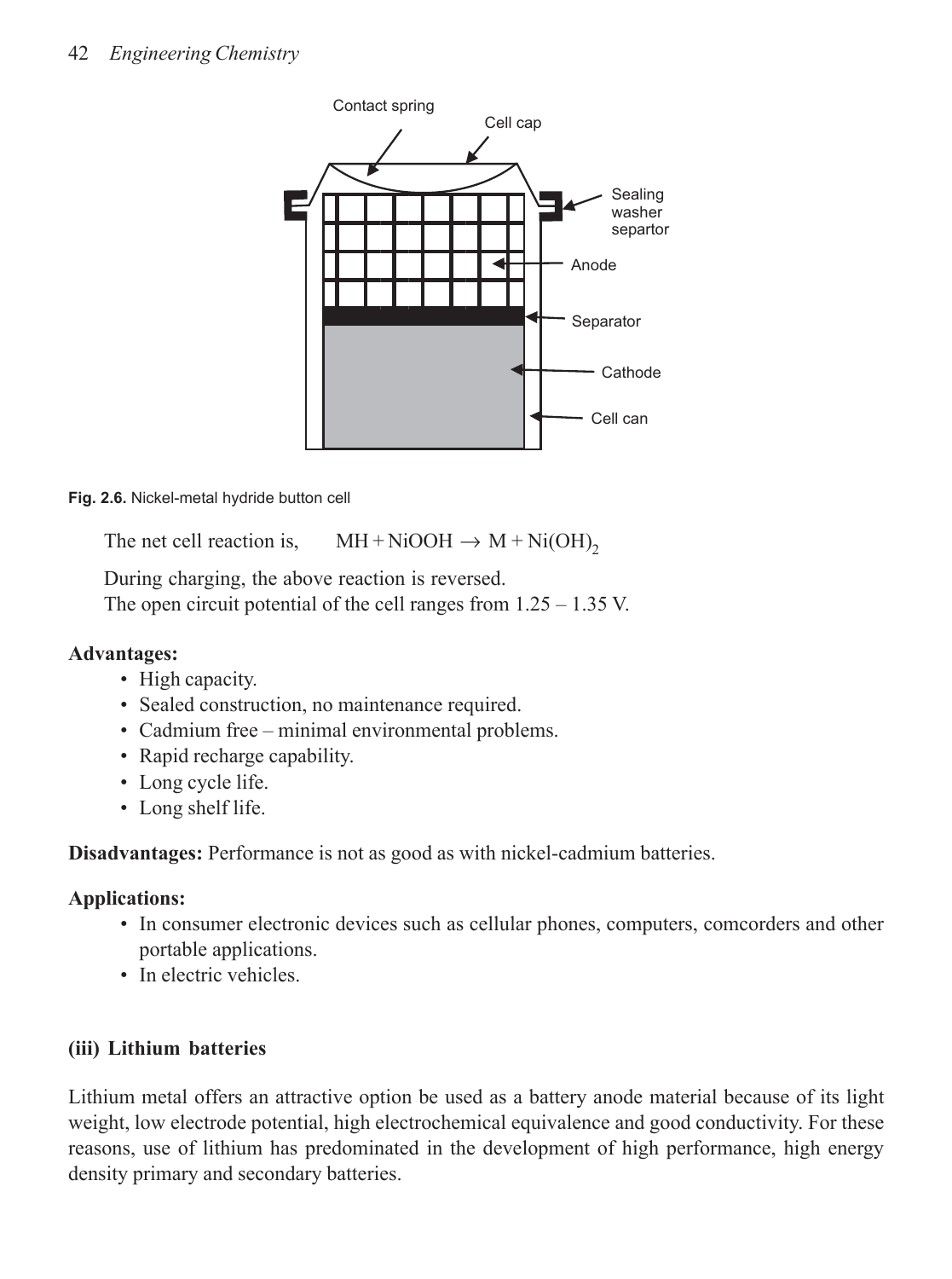

**Fig. 2.6.** Nickel-metal hydride button cell

The net cell reaction is,  $MH + NiOOH \rightarrow M + Ni(OH)_{2}$ 

During charging, the above reaction is reversed. The open circuit potential of the cell ranges from 1.25 – 1.35 V.

# **Advantages:**

- High capacity.
- Sealed construction, no maintenance required.
- Cadmium free minimal environmental problems.
- Rapid recharge capability.
- Long cycle life.
- Long shelf life.

**Disadvantages:** Performance is not as good as with nickel-cadmium batteries.

# **Applications:**

- In consumer electronic devices such as cellular phones, computers, comcorders and other portable applications.
- In electric vehicles.

# **(iii) Lithium batteries**

Lithium metal offers an attractive option be used as a battery anode material because of its light weight, low electrode potential, high electrochemical equivalence and good conductivity. For these reasons, use of lithium has predominated in the development of high performance, high energy density primary and secondary batteries.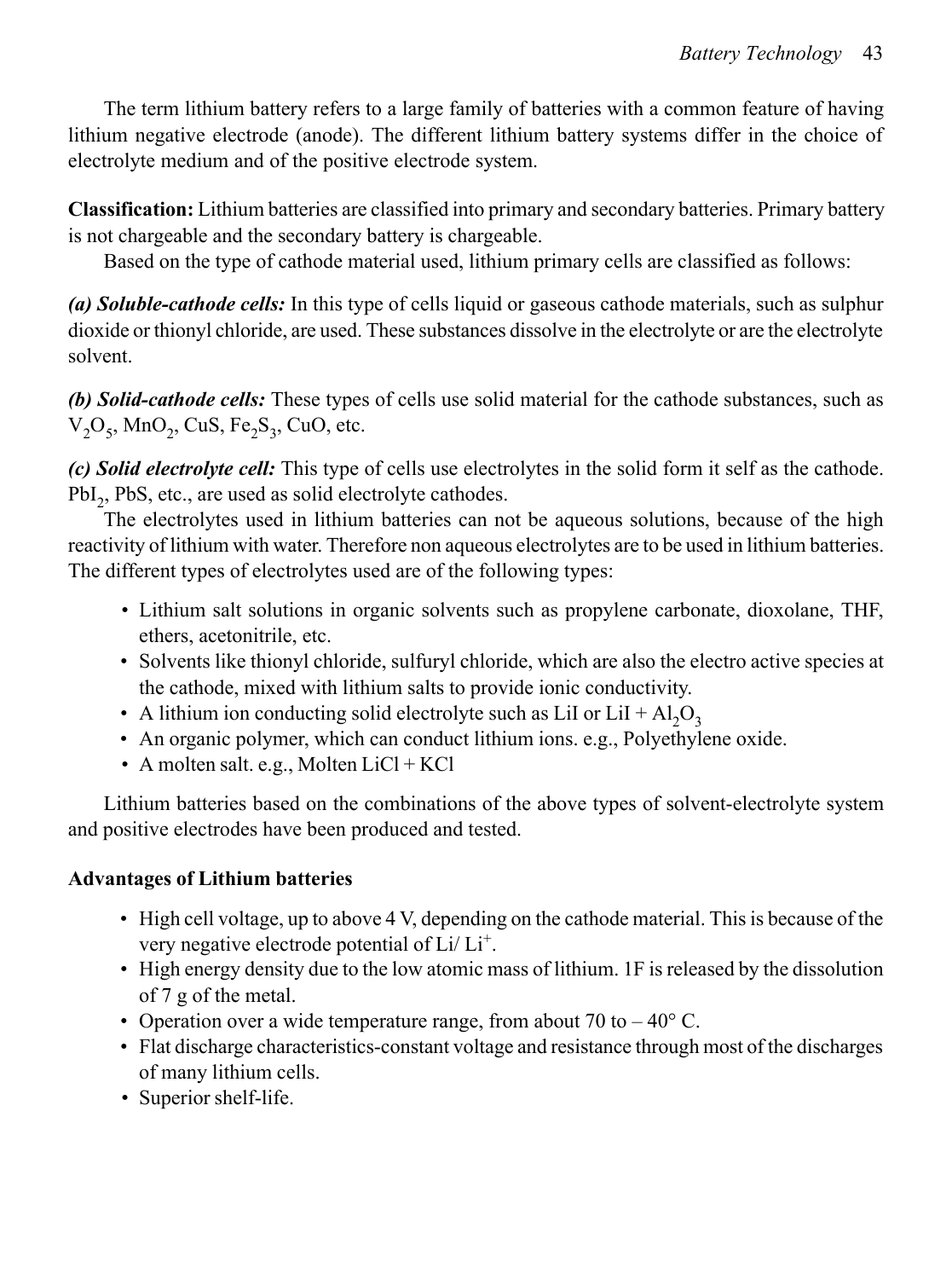The term lithium battery refers to a large family of batteries with a common feature of having lithium negative electrode (anode). The different lithium battery systems differ in the choice of electrolyte medium and of the positive electrode system.

**Classification:** Lithium batteries are classified into primary and secondary batteries. Primary battery is not chargeable and the secondary battery is chargeable.

Based on the type of cathode material used, lithium primary cells are classified as follows:

*(a) Soluble-cathode cells:* In this type of cells liquid or gaseous cathode materials, such as sulphur dioxide or thionyl chloride, are used. These substances dissolve in the electrolyte or are the electrolyte solvent.

*(b) Solid-cathode cells:* These types of cells use solid material for the cathode substances, such as  $V_2O_5$ , MnO<sub>2</sub>, CuS, Fe<sub>2</sub>S<sub>3</sub>, CuO, etc.

*(c) Solid electrolyte cell:* This type of cells use electrolytes in the solid form it self as the cathode. PbI<sub>2</sub>, PbS, etc., are used as solid electrolyte cathodes.

The electrolytes used in lithium batteries can not be aqueous solutions, because of the high reactivity of lithium with water. Therefore non aqueous electrolytes are to be used in lithium batteries. The different types of electrolytes used are of the following types:

- Lithium salt solutions in organic solvents such as propylene carbonate, dioxolane, THF, ethers, acetonitrile, etc.
- Solvents like thionyl chloride, sulfuryl chloride, which are also the electro active species at the cathode, mixed with lithium salts to provide ionic conductivity.
- A lithium ion conducting solid electrolyte such as LiI or LiI +  $Al_2O_3$
- An organic polymer, which can conduct lithium ions. e.g., Polyethylene oxide.
- A molten salt. e.g., Molten  $LiCl + KCl$

Lithium batteries based on the combinations of the above types of solvent-electrolyte system and positive electrodes have been produced and tested.

# **Advantages of Lithium batteries**

- High cell voltage, up to above 4 V, depending on the cathode material. This is because of the very negative electrode potential of Li/Li<sup>+</sup>.
- High energy density due to the low atomic mass of lithium. 1F is released by the dissolution of 7 g of the metal.
- Operation over a wide temperature range, from about 70 to  $-40^{\circ}$  C.
- Flat discharge characteristics-constant voltage and resistance through most of the discharges of many lithium cells.
- Superior shelf-life.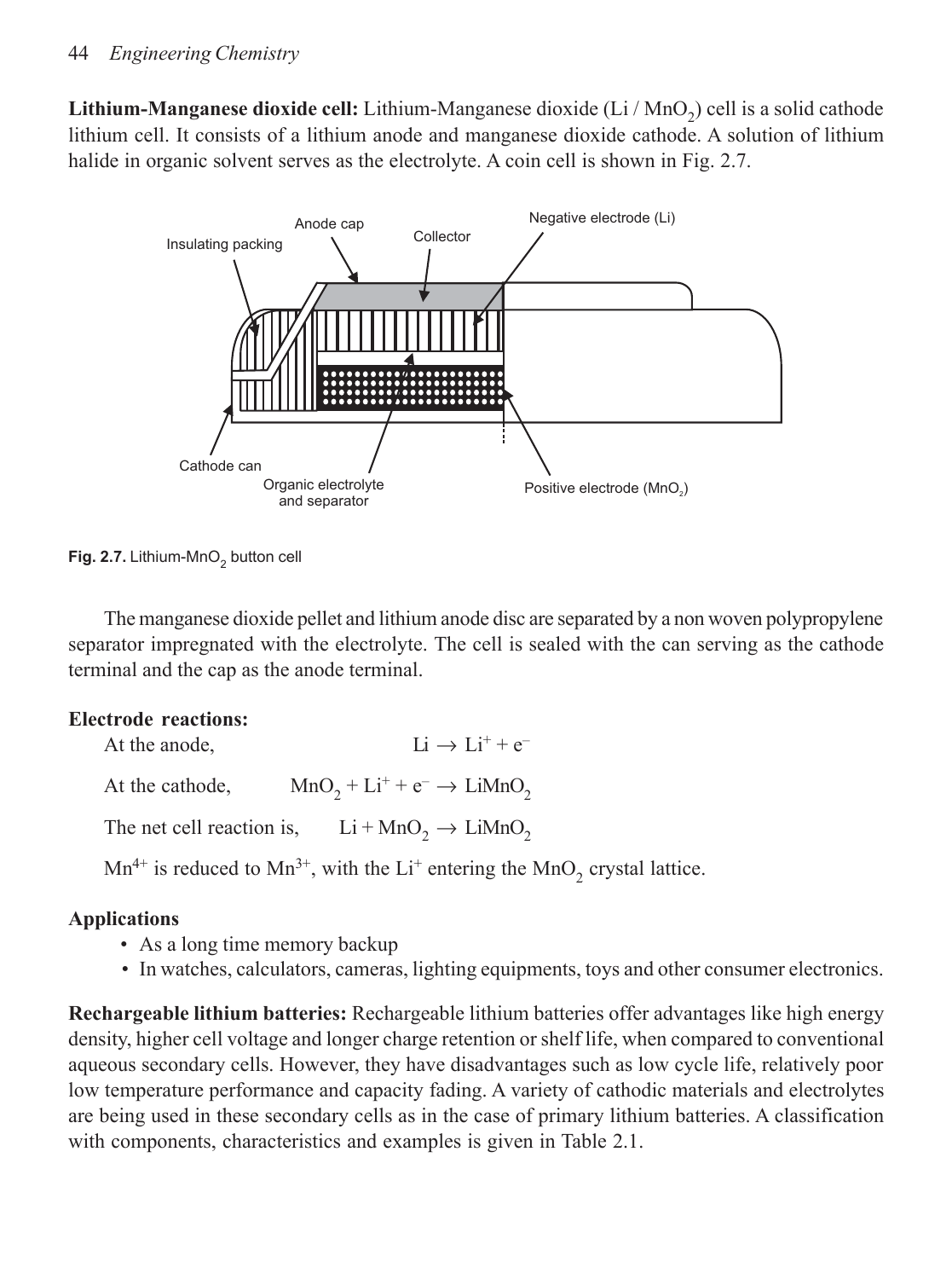Lithium-Manganese dioxide cell: Lithium-Manganese dioxide (Li / MnO<sub>2</sub>) cell is a solid cathode lithium cell. It consists of a lithium anode and manganese dioxide cathode. A solution of lithium halide in organic solvent serves as the electrolyte. A coin cell is shown in Fig. 2.7.



Fig. 2.7. Lithium-MnO<sub>2</sub> button cell

The manganese dioxide pellet and lithium anode disc are separated by a non woven polypropylene separator impregnated with the electrolyte. The cell is sealed with the can serving as the cathode terminal and the cap as the anode terminal.

# **Electrode reactions:**

At the anode,  $Li \rightarrow Li^{+} + e^{-}$ At the cathode,  $MnO_2 + Li^+ + e^- \rightarrow LiMnO_2$ 

The net cell reaction is,  $Li + MnO_2 \rightarrow LiMnO_2$ 

 $Mn^{4+}$  is reduced to  $Mn^{3+}$ , with the Li<sup>+</sup> entering the  $MnO_2$  crystal lattice.

# **Applications**

- As a long time memory backup
- In watches, calculators, cameras, lighting equipments, toys and other consumer electronics.

**Rechargeable lithium batteries:** Rechargeable lithium batteries offer advantages like high energy density, higher cell voltage and longer charge retention or shelf life, when compared to conventional aqueous secondary cells. However, they have disadvantages such as low cycle life, relatively poor low temperature performance and capacity fading. A variety of cathodic materials and electrolytes are being used in these secondary cells as in the case of primary lithium batteries. A classification with components, characteristics and examples is given in Table 2.1.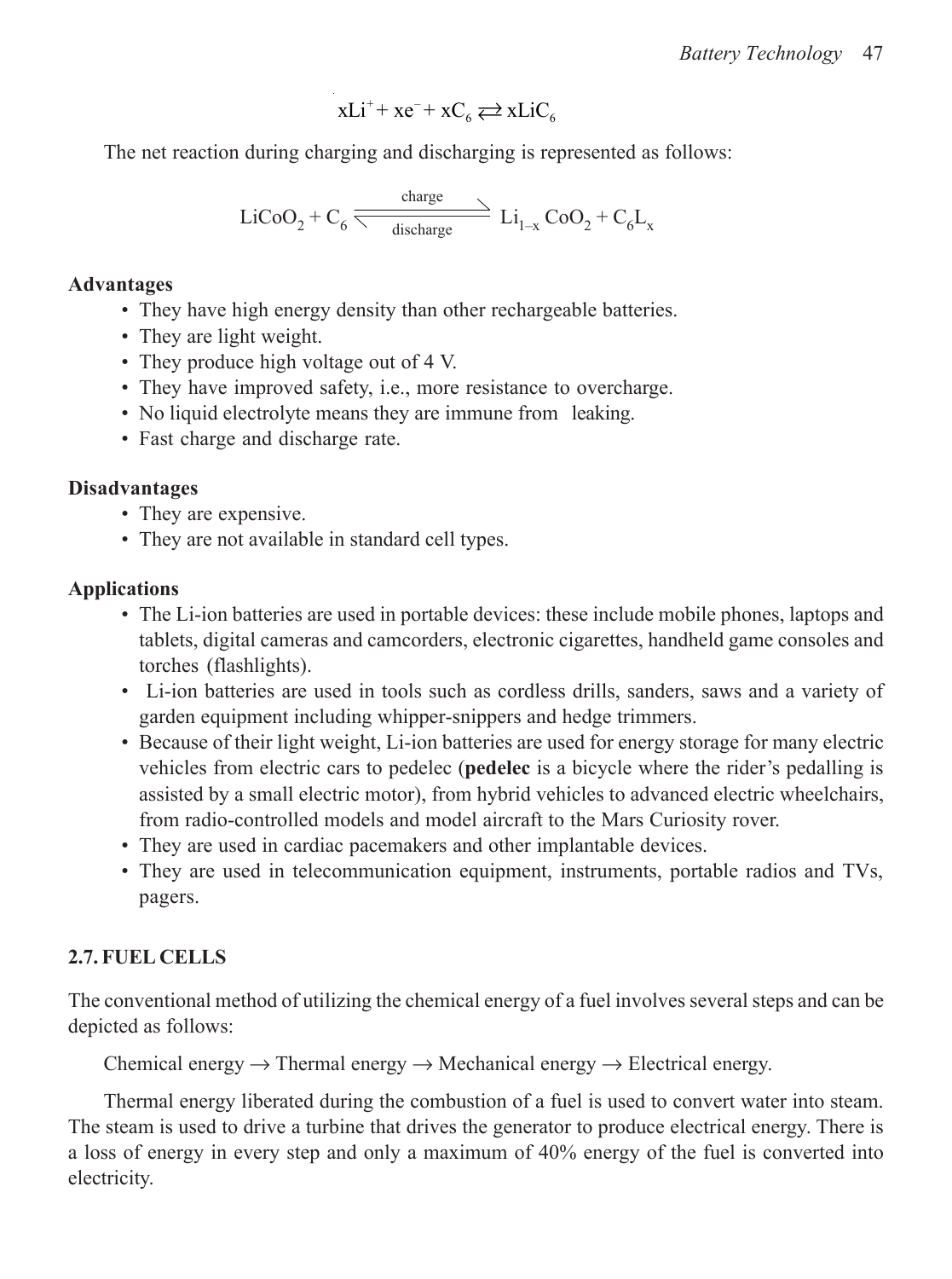$$
xLi^{+}+xe^{-}+xC_{6} \rightleftarrows xLiC_{6}
$$

The net reaction during charging and discharging is represented as follows:

$$
\text{LiCoO}_2 + C_6 \xrightarrow{\text{charge}} \text{Li}_{1-x} \text{CoO}_2 + C_6 \text{L}_x
$$

### **Advantages**

- They have high energy density than other rechargeable batteries.
- They are light weight.
- They produce high voltage out of 4 V.
- They have improved safety, i.e., more resistance to overcharge.
- No liquid electrolyte means they are immune from leaking.
- Fast charge and discharge rate.

# **Disadvantages**

- They are expensive.
- They are not available in standard cell types.

# **Applications**

- The Li-ion batteries are used in portable devices: these include mobile phones, laptops and tablets, digital cameras and camcorders, electronic cigarettes, handheld game consoles and torches (flashlights).
- Li-ion batteries are used in tools such as cordless drills, sanders, saws and a variety of garden equipment including whipper-snippers and hedge trimmers.
- Because of their light weight, Li-ion batteries are used for energy storage for many electric vehicles from electric cars to pedelec (**pedelec** is a bicycle where the rider's pedalling is assisted by a small electric motor), from hybrid vehicles to advanced electric wheelchairs, from radio-controlled models and model aircraft to the Mars Curiosity rover.
- They are used in cardiac pacemakers and other implantable devices.
- They are used in telecommunication equipment, instruments, portable radios and TVs, pagers.

# **2.7. FUEL CELLS**

The conventional method of utilizing the chemical energy of a fuel involves several steps and can be depicted as follows:

Chemical energy  $\rightarrow$  Thermal energy  $\rightarrow$  Mechanical energy  $\rightarrow$  Electrical energy.

Thermal energy liberated during the combustion of a fuel is used to convert water into steam. The steam is used to drive a turbine that drives the generator to produce electrical energy. There is a loss of energy in every step and only a maximum of 40% energy of the fuel is converted into electricity.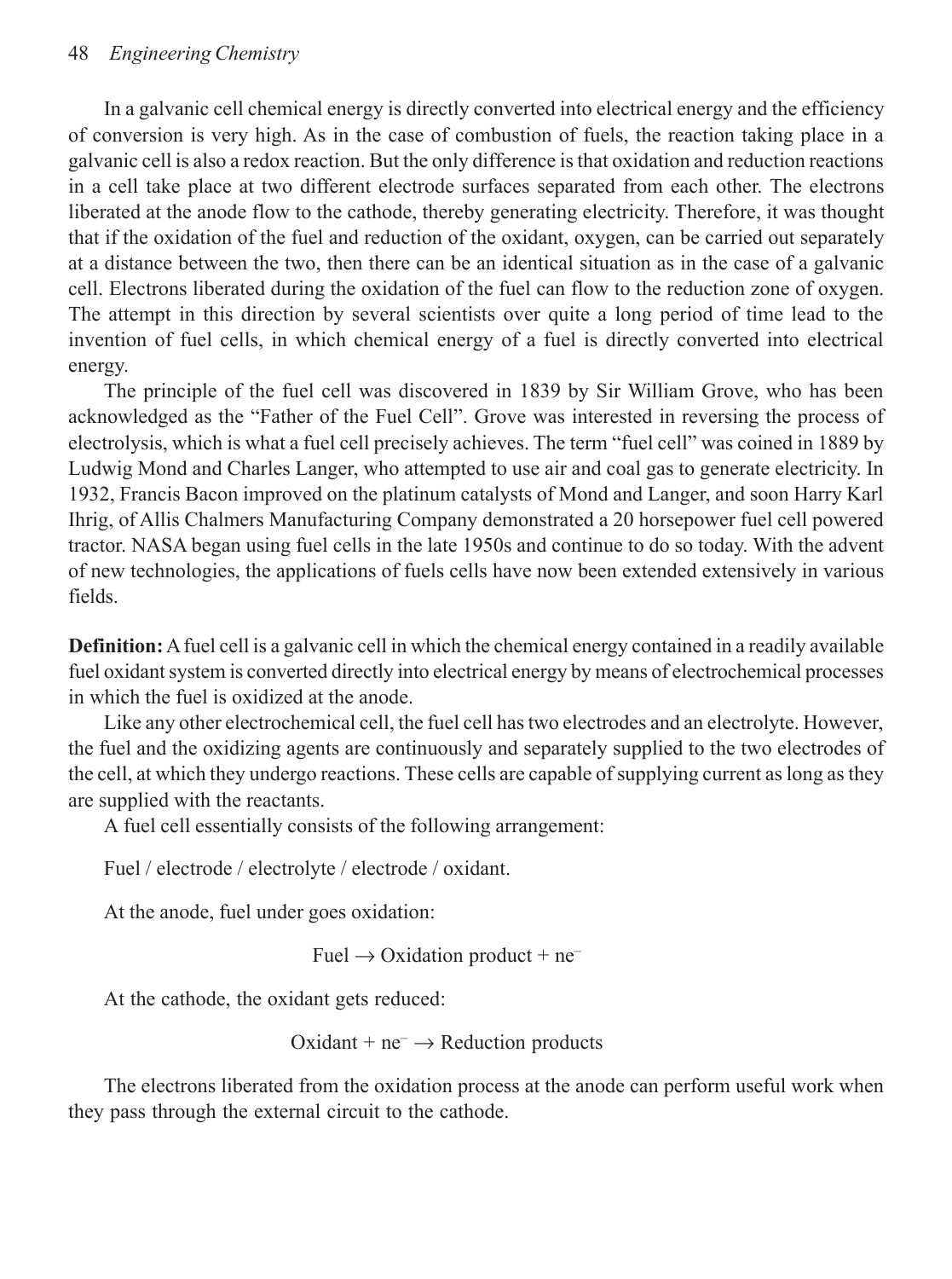#### 48 *Engineering Chemistry*

In a galvanic cell chemical energy is directly converted into electrical energy and the efficiency of conversion is very high. As in the case of combustion of fuels, the reaction taking place in a galvanic cell is also a redox reaction. But the only difference is that oxidation and reduction reactions in a cell take place at two different electrode surfaces separated from each other. The electrons liberated at the anode flow to the cathode, thereby generating electricity. Therefore, it was thought that if the oxidation of the fuel and reduction of the oxidant, oxygen, can be carried out separately at a distance between the two, then there can be an identical situation as in the case of a galvanic cell. Electrons liberated during the oxidation of the fuel can flow to the reduction zone of oxygen. The attempt in this direction by several scientists over quite a long period of time lead to the invention of fuel cells, in which chemical energy of a fuel is directly converted into electrical energy.

The principle of the fuel cell was discovered in 1839 by Sir William Grove, who has been acknowledged as the "Father of the Fuel Cell". Grove was interested in reversing the process of electrolysis, which is what a fuel cell precisely achieves. The term "fuel cell" was coined in 1889 by Ludwig Mond and Charles Langer, who attempted to use air and coal gas to generate electricity. In 1932, Francis Bacon improved on the platinum catalysts of Mond and Langer, and soon Harry Karl Ihrig, of Allis Chalmers Manufacturing Company demonstrated a 20 horsepower fuel cell powered tractor. NASA began using fuel cells in the late 1950s and continue to do so today. With the advent of new technologies, the applications of fuels cells have now been extended extensively in various fields.

**Definition:** A fuel cell is a galvanic cell in which the chemical energy contained in a readily available fuel oxidant system is converted directly into electrical energy by means of electrochemical processes in which the fuel is oxidized at the anode.

Like any other electrochemical cell, the fuel cell has two electrodes and an electrolyte. However, the fuel and the oxidizing agents are continuously and separately supplied to the two electrodes of the cell, at which they undergo reactions. These cells are capable of supplying current as long as they are supplied with the reactants.

A fuel cell essentially consists of the following arrangement:

Fuel / electrode / electrolyte / electrode / oxidant.

At the anode, fuel under goes oxidation:

Fuel  $\rightarrow$  Oxidation product + ne–

At the cathode, the oxidant gets reduced:

```
Oxidant + ne^- \rightarrow Reduction products
```
The electrons liberated from the oxidation process at the anode can perform useful work when they pass through the external circuit to the cathode.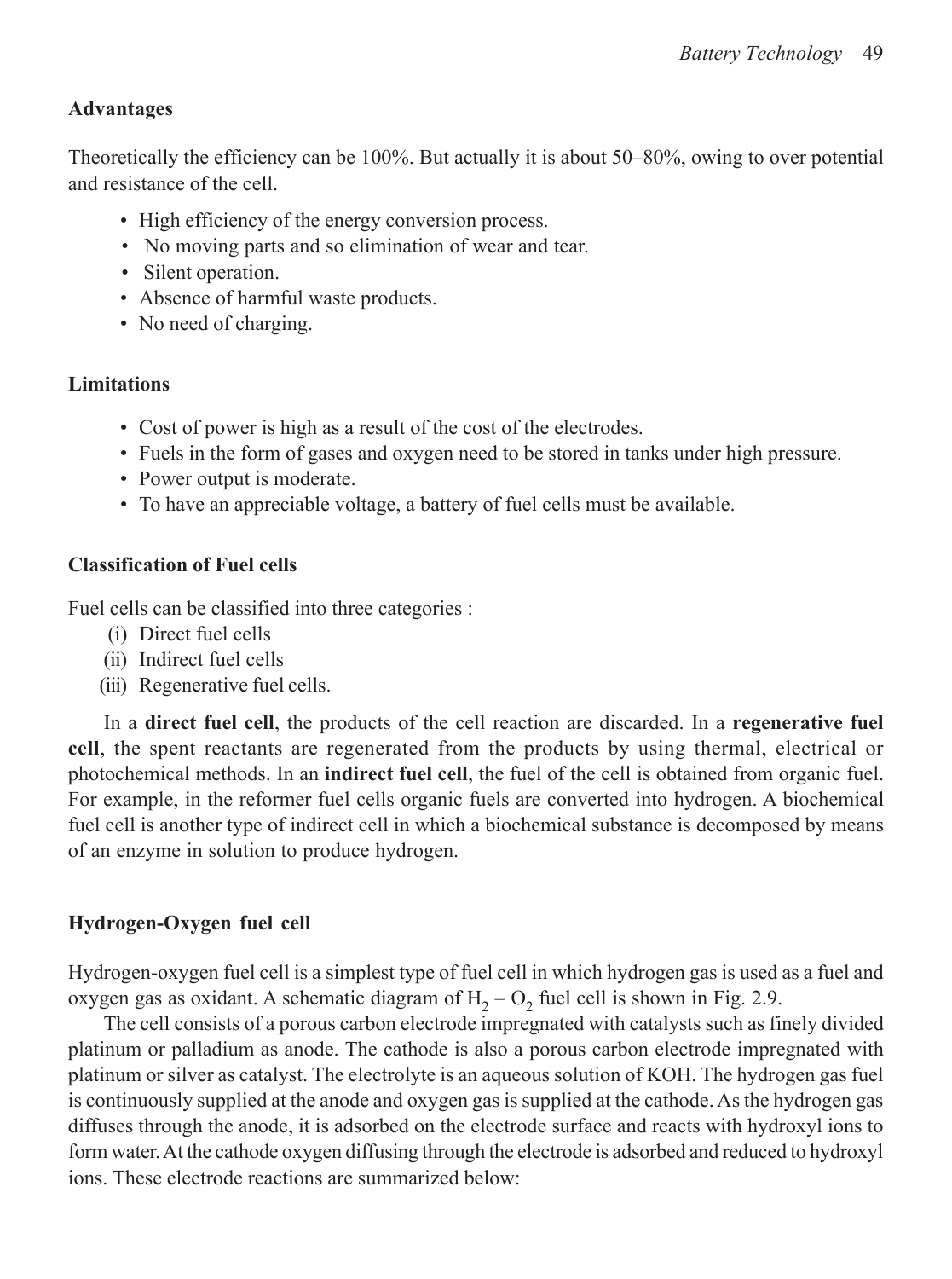# **Advantages**

Theoretically the efficiency can be 100%. But actually it is about 50–80%, owing to over potential and resistance of the cell.

- High efficiency of the energy conversion process.
- No moving parts and so elimination of wear and tear.
- Silent operation.
- Absence of harmful waste products.
- No need of charging.

### **Limitations**

- Cost of power is high as a result of the cost of the electrodes.
- Fuels in the form of gases and oxygen need to be stored in tanks under high pressure.
- Power output is moderate.
- To have an appreciable voltage, a battery of fuel cells must be available.

# **Classification of Fuel cells**

Fuel cells can be classified into three categories :

- (i) Direct fuel cells
- (ii) Indirect fuel cells
- (iii) Regenerative fuel cells.

In a **direct fuel cell**, the products of the cell reaction are discarded. In a **regenerative fuel cell**, the spent reactants are regenerated from the products by using thermal, electrical or photochemical methods. In an **indirect fuel cell**, the fuel of the cell is obtained from organic fuel. For example, in the reformer fuel cells organic fuels are converted into hydrogen. A biochemical fuel cell is another type of indirect cell in which a biochemical substance is decomposed by means of an enzyme in solution to produce hydrogen.

# **Hydrogen-Oxygen fuel cell**

Hydrogen-oxygen fuel cell is a simplest type of fuel cell in which hydrogen gas is used as a fuel and oxygen gas as oxidant. A schematic diagram of  $H_2 - O_2$  fuel cell is shown in Fig. 2.9.

The cell consists of a porous carbon electrode impregnated with catalysts such as finely divided platinum or palladium as anode. The cathode is also a porous carbon electrode impregnated with platinum or silver as catalyst. The electrolyte is an aqueous solution of KOH. The hydrogen gas fuel is continuously supplied at the anode and oxygen gas is supplied at the cathode. As the hydrogen gas diffuses through the anode, it is adsorbed on the electrode surface and reacts with hydroxyl ions to form water. At the cathode oxygen diffusing through the electrode is adsorbed and reduced to hydroxyl ions. These electrode reactions are summarized below: